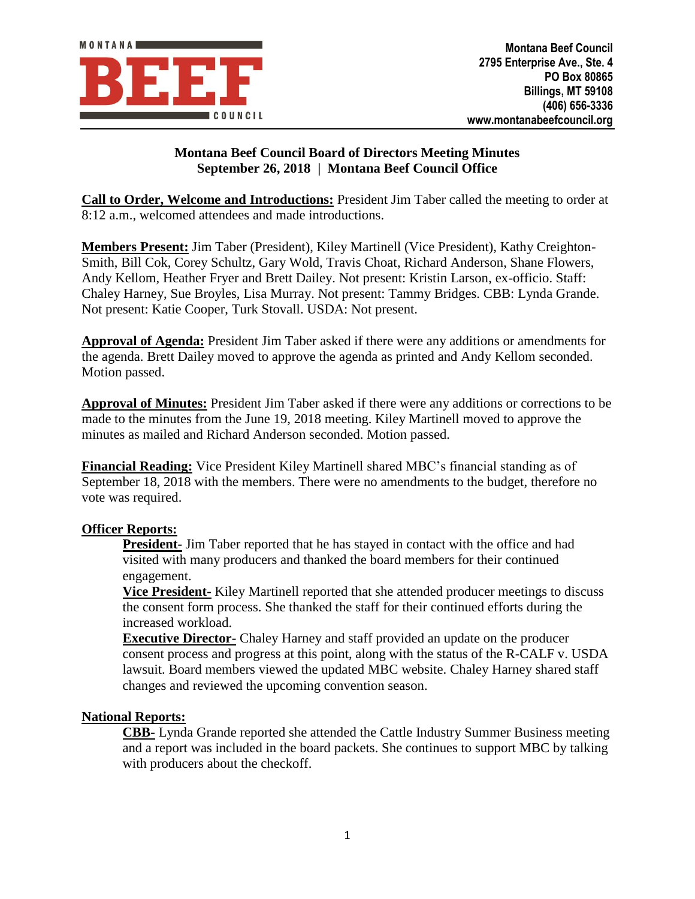

# **Montana Beef Council Board of Directors Meeting Minutes September 26, 2018 | Montana Beef Council Office**

**Call to Order, Welcome and Introductions:** President Jim Taber called the meeting to order at 8:12 a.m., welcomed attendees and made introductions.

**Members Present:** Jim Taber (President), Kiley Martinell (Vice President), Kathy Creighton-Smith, Bill Cok, Corey Schultz, Gary Wold, Travis Choat, Richard Anderson, Shane Flowers, Andy Kellom, Heather Fryer and Brett Dailey. Not present: Kristin Larson, ex-officio. Staff: Chaley Harney, Sue Broyles, Lisa Murray. Not present: Tammy Bridges. CBB: Lynda Grande. Not present: Katie Cooper, Turk Stovall. USDA: Not present.

**Approval of Agenda:** President Jim Taber asked if there were any additions or amendments for the agenda. Brett Dailey moved to approve the agenda as printed and Andy Kellom seconded. Motion passed.

**Approval of Minutes:** President Jim Taber asked if there were any additions or corrections to be made to the minutes from the June 19, 2018 meeting. Kiley Martinell moved to approve the minutes as mailed and Richard Anderson seconded. Motion passed.

**Financial Reading:** Vice President Kiley Martinell shared MBC's financial standing as of September 18, 2018 with the members. There were no amendments to the budget, therefore no vote was required.

# **Officer Reports:**

**President-** Jim Taber reported that he has stayed in contact with the office and had visited with many producers and thanked the board members for their continued engagement.

**Vice President-** Kiley Martinell reported that she attended producer meetings to discuss the consent form process. She thanked the staff for their continued efforts during the increased workload.

**Executive Director-** Chaley Harney and staff provided an update on the producer consent process and progress at this point, along with the status of the R-CALF v. USDA lawsuit. Board members viewed the updated MBC website. Chaley Harney shared staff changes and reviewed the upcoming convention season.

# **National Reports:**

**CBB-** Lynda Grande reported she attended the Cattle Industry Summer Business meeting and a report was included in the board packets. She continues to support MBC by talking with producers about the checkoff.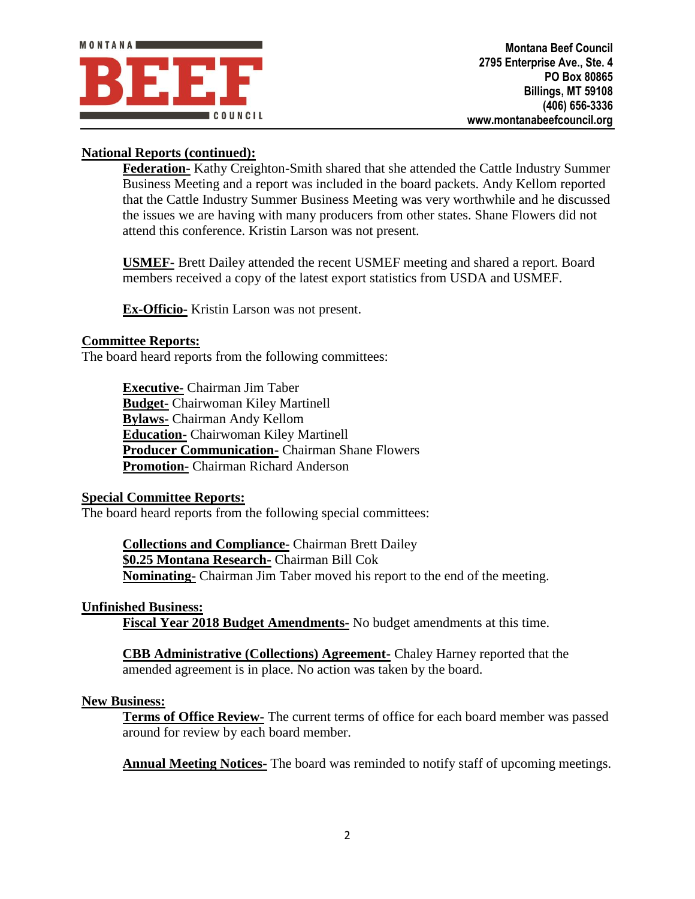

# **National Reports (continued):**

**Federation-** Kathy Creighton-Smith shared that she attended the Cattle Industry Summer Business Meeting and a report was included in the board packets. Andy Kellom reported that the Cattle Industry Summer Business Meeting was very worthwhile and he discussed the issues we are having with many producers from other states. Shane Flowers did not attend this conference. Kristin Larson was not present.

**USMEF-** Brett Dailey attended the recent USMEF meeting and shared a report. Board members received a copy of the latest export statistics from USDA and USMEF.

**Ex-Officio-** Kristin Larson was not present.

### **Committee Reports:**

The board heard reports from the following committees:

**Executive-** Chairman Jim Taber **Budget-** Chairwoman Kiley Martinell **Bylaws-** Chairman Andy Kellom **Education-** Chairwoman Kiley Martinell **Producer Communication-** Chairman Shane Flowers **Promotion-** Chairman Richard Anderson

#### **Special Committee Reports:**

The board heard reports from the following special committees:

**Collections and Compliance-** Chairman Brett Dailey **\$0.25 Montana Research-** Chairman Bill Cok **Nominating-** Chairman Jim Taber moved his report to the end of the meeting.

### **Unfinished Business:**

**Fiscal Year 2018 Budget Amendments-** No budget amendments at this time.

**CBB Administrative (Collections) Agreement-** Chaley Harney reported that the amended agreement is in place. No action was taken by the board.

#### **New Business:**

**Terms of Office Review-** The current terms of office for each board member was passed around for review by each board member.

**Annual Meeting Notices-** The board was reminded to notify staff of upcoming meetings.